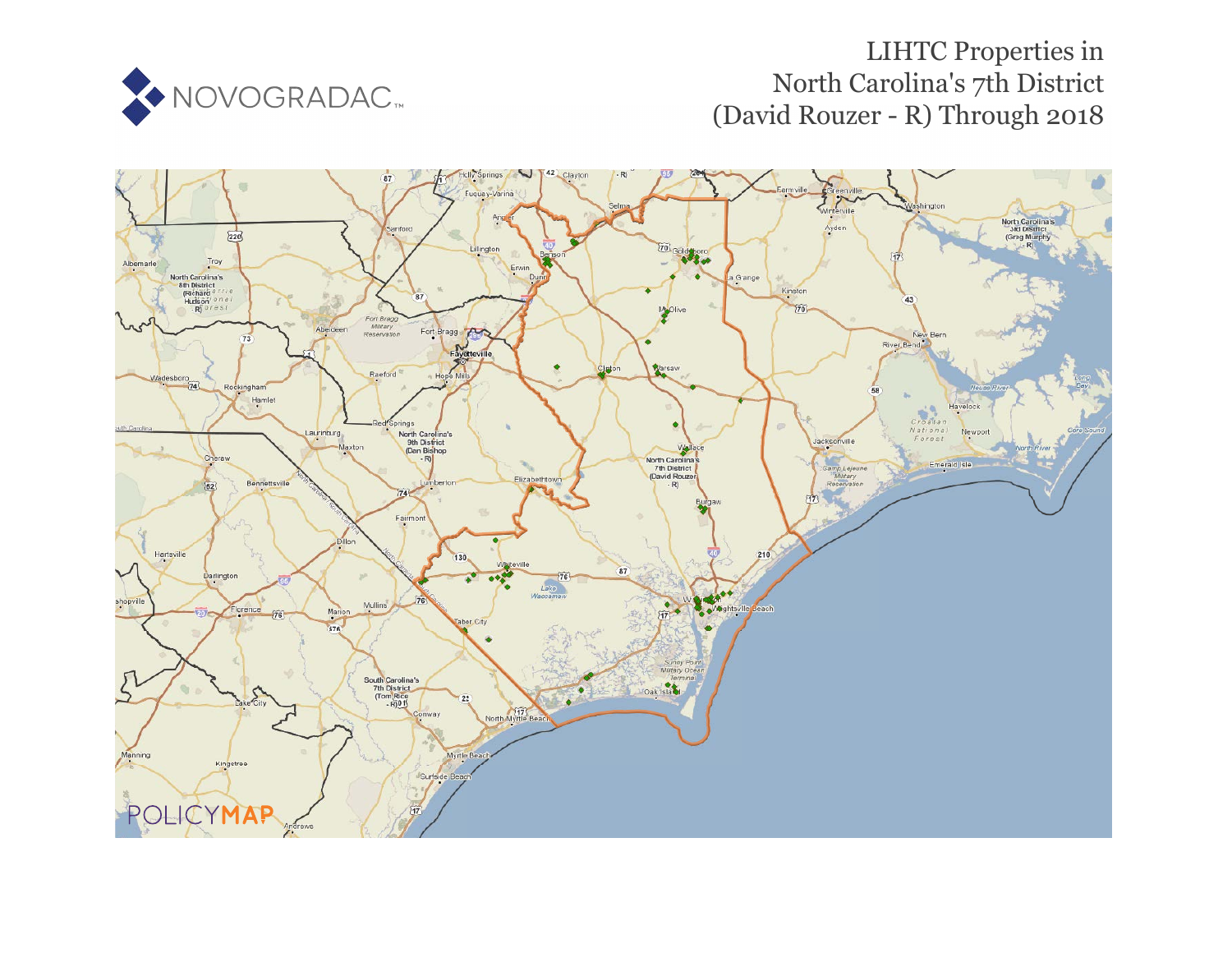

# LIHTC Properties in North Carolina's 7th District (David Rouzer - R) Through 2018

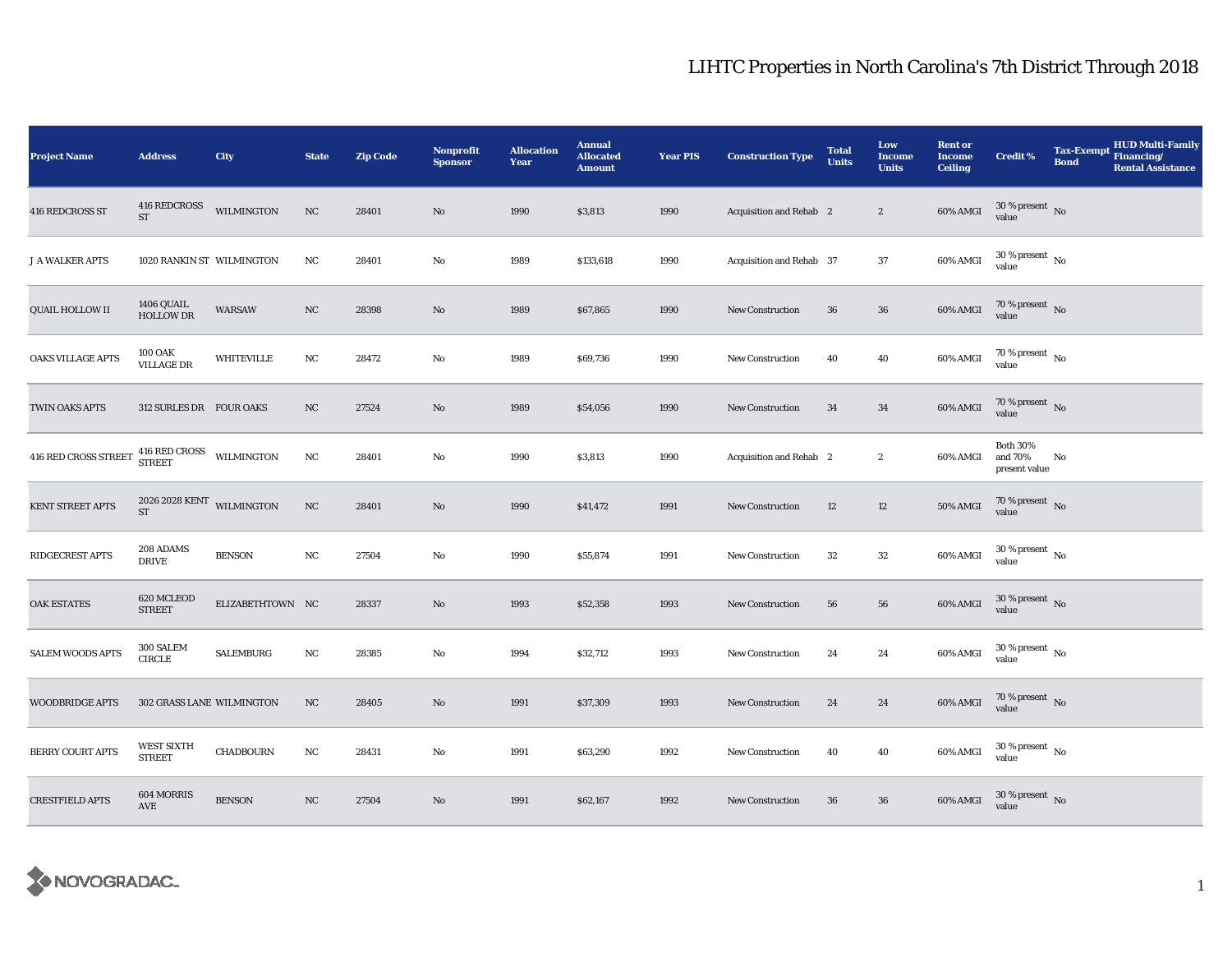| <b>Project Name</b>     | <b>Address</b>                                    | City              | <b>State</b> | <b>Zip Code</b> | <b>Nonprofit</b><br><b>Sponsor</b> | <b>Allocation</b><br>Year | <b>Annual</b><br><b>Allocated</b><br><b>Amount</b> | <b>Year PIS</b> | <b>Construction Type</b> | <b>Total</b><br><b>Units</b> | Low<br>Income<br><b>Units</b> | <b>Rent or</b><br><b>Income</b><br><b>Ceiling</b> | <b>Credit %</b>                             | <b>Tax-Exempt</b><br><b>Bond</b> | <b>HUD Multi-Family</b><br>Financing/<br><b>Rental Assistance</b> |
|-------------------------|---------------------------------------------------|-------------------|--------------|-----------------|------------------------------------|---------------------------|----------------------------------------------------|-----------------|--------------------------|------------------------------|-------------------------------|---------------------------------------------------|---------------------------------------------|----------------------------------|-------------------------------------------------------------------|
| 416 REDCROSS ST         | $416$ REDCROSS $\,$<br>${\rm ST}$                 | WILMINGTON        | $_{\rm NC}$  | 28401           | $\rm No$                           | 1990                      | \$3,813                                            | 1990            | Acquisition and Rehab 2  |                              | $\boldsymbol{2}$              | $60\%$ AMGI                                       | $30$ % present $\,$ No value                |                                  |                                                                   |
| <b>J A WALKER APTS</b>  | 1020 RANKIN ST WILMINGTON                         |                   | NC           | 28401           | No                                 | 1989                      | \$133,618                                          | 1990            | Acquisition and Rehab 37 |                              | 37                            | 60% AMGI                                          | $30\,\%$ present $\,$ No $\,$<br>value      |                                  |                                                                   |
| <b>QUAIL HOLLOW II</b>  | 1406 QUAIL<br><b>HOLLOW DR</b>                    | <b>WARSAW</b>     | NC           | 28398           | No                                 | 1989                      | \$67,865                                           | 1990            | <b>New Construction</b>  | 36                           | $36\,$                        | 60% AMGI                                          | $70\,\%$ present $\,$ No value              |                                  |                                                                   |
| OAKS VILLAGE APTS       | <b>100 OAK</b><br><b>VILLAGE DR</b>               | <b>WHITEVILLE</b> | NC           | 28472           | No                                 | 1989                      | \$69,736                                           | 1990            | <b>New Construction</b>  | 40                           | 40                            | 60% AMGI                                          | 70 % present $\hbox{~No}$<br>value          |                                  |                                                                   |
| TWIN OAKS APTS          | 312 SURLES DR FOUR OAKS                           |                   | NC           | 27524           | $\mathbf{No}$                      | 1989                      | \$54,056                                           | 1990            | <b>New Construction</b>  | 34                           | 34                            | 60% AMGI                                          | $70\%$ present No<br>value                  |                                  |                                                                   |
| 416 RED CROSS STREET    | $416$ RED CROSS $$\tt WILMINGTON$$                |                   | $_{\rm NC}$  | 28401           | No                                 | 1990                      | \$3,813                                            | 1990            | Acquisition and Rehab 2  |                              | $\boldsymbol{2}$              | 60% AMGI                                          | <b>Both 30%</b><br>and 70%<br>present value | No                               |                                                                   |
| KENT STREET APTS        | $2026\ 2028\ \mbox{KENT}$ WILMINGTON<br><b>ST</b> |                   | $_{\rm NC}$  | 28401           | No                                 | 1990                      | \$41,472                                           | 1991            | <b>New Construction</b>  | 12                           | 12                            | 50% AMGI                                          | 70 % present $\hbox{~No}$<br>value          |                                  |                                                                   |
| RIDGECREST APTS         | 208 ADAMS<br><b>DRIVE</b>                         | <b>BENSON</b>     | $_{\rm NC}$  | 27504           | No                                 | 1990                      | \$55,874                                           | 1991            | <b>New Construction</b>  | 32                           | $32\,$                        | 60% AMGI                                          | $30\,\%$ present $\,$ No $\,$<br>value      |                                  |                                                                   |
| <b>OAK ESTATES</b>      | 620 MCLEOD<br><b>STREET</b>                       | ELIZABETHTOWN NC  |              | 28337           | $\mathbf{No}$                      | 1993                      | \$52,358                                           | 1993            | New Construction         | 56                           | 56                            | 60% AMGI                                          | $30$ % present $_{\rm{No}}$                 |                                  |                                                                   |
| <b>SALEM WOODS APTS</b> | 300 SALEM<br><b>CIRCLE</b>                        | <b>SALEMBURG</b>  | $_{\rm NC}$  | 28385           | No                                 | 1994                      | \$32,712                                           | 1993            | New Construction         | 24                           | 24                            | 60% AMGI                                          | $30$ % present $\,$ No value                |                                  |                                                                   |
| <b>WOODBRIDGE APTS</b>  | 302 GRASS LANE WILMINGTON                         |                   | NC           | 28405           | No                                 | 1991                      | \$37,309                                           | 1993            | <b>New Construction</b>  | 24                           | 24                            | 60% AMGI                                          | $70$ % present $\,$ No value                |                                  |                                                                   |
| <b>BERRY COURT APTS</b> | <b>WEST SIXTH</b><br><b>STREET</b>                | <b>CHADBOURN</b>  | NC           | 28431           | No                                 | 1991                      | \$63,290                                           | 1992            | <b>New Construction</b>  | 40                           | ${\bf 40}$                    | 60% AMGI                                          | $30\ \%$ present $\hbox{~No}$               |                                  |                                                                   |
| <b>CRESTFIELD APTS</b>  | 604 MORRIS<br>AVE                                 | <b>BENSON</b>     | NC           | 27504           | No                                 | 1991                      | \$62,167                                           | 1992            | <b>New Construction</b>  | 36                           | $36\,$                        | 60% AMGI                                          | $30$ % present $\,$ No value                |                                  |                                                                   |

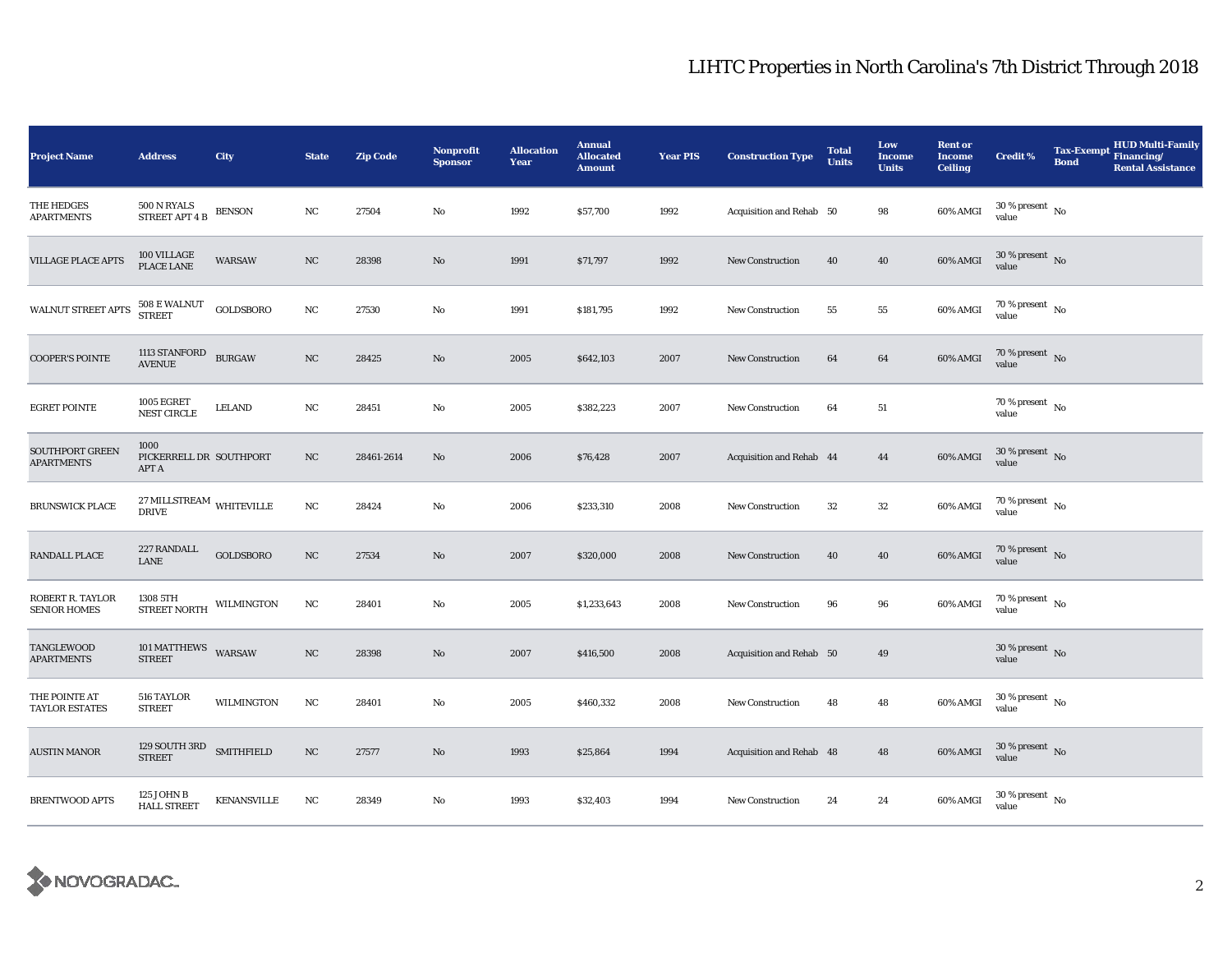| <b>Project Name</b>                            | <b>Address</b>                                | City          | <b>State</b>     | <b>Zip Code</b> | <b>Nonprofit</b><br><b>Sponsor</b> | <b>Allocation</b><br>Year | <b>Annual</b><br><b>Allocated</b><br><b>Amount</b> | <b>Year PIS</b> | <b>Construction Type</b> | <b>Total</b><br><b>Units</b> | Low<br><b>Income</b><br><b>Units</b> | <b>Rent or</b><br><b>Income</b><br><b>Ceiling</b> | <b>Credit %</b>                        | <b>Tax-Exempt</b><br><b>Bond</b> | <b>HUD Multi-Family</b><br>Financing/<br><b>Rental Assistance</b> |
|------------------------------------------------|-----------------------------------------------|---------------|------------------|-----------------|------------------------------------|---------------------------|----------------------------------------------------|-----------------|--------------------------|------------------------------|--------------------------------------|---------------------------------------------------|----------------------------------------|----------------------------------|-------------------------------------------------------------------|
| THE HEDGES<br><b>APARTMENTS</b>                | 500 N RYALS<br><b>STREET APT 4 B</b>          | <b>BENSON</b> | NC               | 27504           | No                                 | 1992                      | \$57,700                                           | 1992            | Acquisition and Rehab 50 |                              | 98                                   | 60% AMGI                                          | $30$ % present $\,$ No $\,$<br>value   |                                  |                                                                   |
| <b>VILLAGE PLACE APTS</b>                      | 100 VILLAGE PLACE LANE                        | <b>WARSAW</b> | NC               | 28398           | No                                 | 1991                      | \$71,797                                           | 1992            | <b>New Construction</b>  | 40                           | 40                                   | 60% AMGI                                          | $30\,\%$ present $\,$ No $\,$<br>value |                                  |                                                                   |
| WALNUT STREET APTS                             | 508 E WALNUT<br>STREET                        | GOLDSBORO     | NC               | 27530           | No                                 | 1991                      | \$181,795                                          | 1992            | New Construction         | 55                           | ${\bf 55}$                           | 60% AMGI                                          | $70$ % present $\,$ No $\,$<br>value   |                                  |                                                                   |
| <b>COOPER'S POINTE</b>                         | 1113 STANFORD<br><b>AVENUE</b>                | <b>BURGAW</b> | NC               | 28425           | No                                 | 2005                      | \$642,103                                          | 2007            | New Construction         | 64                           | 64                                   | 60% AMGI                                          | 70 % present $\hbox{~No}$<br>value     |                                  |                                                                   |
| <b>EGRET POINTE</b>                            | <b>1005 EGRET</b><br>NEST CIRCLE              | <b>LELAND</b> | NC               | 28451           | No                                 | 2005                      | \$382,223                                          | 2007            | New Construction         | 64                           | ${\bf 51}$                           |                                                   | 70 % present $\hbox{~No}$<br>value     |                                  |                                                                   |
| SOUTHPORT GREEN<br><b>APARTMENTS</b>           | 1000<br>PICKERRELL DR SOUTHPORT<br>APT A      |               | NC               | 28461-2614      | No                                 | 2006                      | \$76,428                                           | 2007            | Acquisition and Rehab 44 |                              | 44                                   | 60% AMGI                                          | $30\,\%$ present $\,$ No value         |                                  |                                                                   |
| <b>BRUNSWICK PLACE</b>                         | $27\,\rm MILLSTREAM$ WHITEVILLE DRIVE         |               | NC               | 28424           | No                                 | 2006                      | \$233,310                                          | 2008            | <b>New Construction</b>  | 32                           | ${\bf 32}$                           | 60% AMGI                                          | $70$ % present $\,$ No $\,$<br>value   |                                  |                                                                   |
| RANDALL PLACE                                  | 227 RANDALL<br>LANE                           | GOLDSBORO     | $_{\rm NC}$      | 27534           | No                                 | 2007                      | \$320,000                                          | 2008            | <b>New Construction</b>  | 40                           | 40                                   | 60% AMGI                                          | $70\,\%$ present $\,$ No value         |                                  |                                                                   |
| <b>ROBERT R. TAYLOR</b><br><b>SENIOR HOMES</b> | 1308 5TH<br>STREET NORTH                      | WILMINGTON    | NC               | 28401           | No                                 | 2005                      | \$1,233,643                                        | 2008            | <b>New Construction</b>  | 96                           | 96                                   | 60% AMGI                                          | $70$ % present $\,$ No $\,$<br>value   |                                  |                                                                   |
| TANGLEWOOD<br><b>APARTMENTS</b>                | 101 MATTHEWS WARSAW<br><b>STREET</b>          |               | $_{\rm NC}$      | 28398           | No                                 | 2007                      | \$416,500                                          | 2008            | Acquisition and Rehab 50 |                              | 49                                   |                                                   | $30$ % present $\,$ No $\,$<br>value   |                                  |                                                                   |
| THE POINTE AT<br><b>TAYLOR ESTATES</b>         | 516 TAYLOR<br><b>STREET</b>                   | WILMINGTON    | NC               | 28401           | No                                 | 2005                      | \$460,332                                          | 2008            | New Construction         | 48                           | 48                                   | 60% AMGI                                          | $30$ % present $\,$ No $\,$<br>value   |                                  |                                                                   |
| <b>AUSTIN MANOR</b>                            | $129$ SOUTH $3\mathrm{RD}$ $$\rm SMITHFIELD$$ |               | $_{\mathrm{NC}}$ | 27577           | No                                 | 1993                      | \$25,864                                           | 1994            | Acquisition and Rehab 48 |                              | 48                                   | 60% AMGI                                          | $30\,\%$ present $\,$ No value         |                                  |                                                                   |
| <b>BRENTWOOD APTS</b>                          | 125 JOHN B<br><b>HALL STREET</b>              | KENANSVILLE   | $_{\rm NC}$      | 28349           | No                                 | 1993                      | \$32,403                                           | 1994            | <b>New Construction</b>  | 24                           | 24                                   | 60% AMGI                                          | $30\,\%$ present $\,$ No value         |                                  |                                                                   |

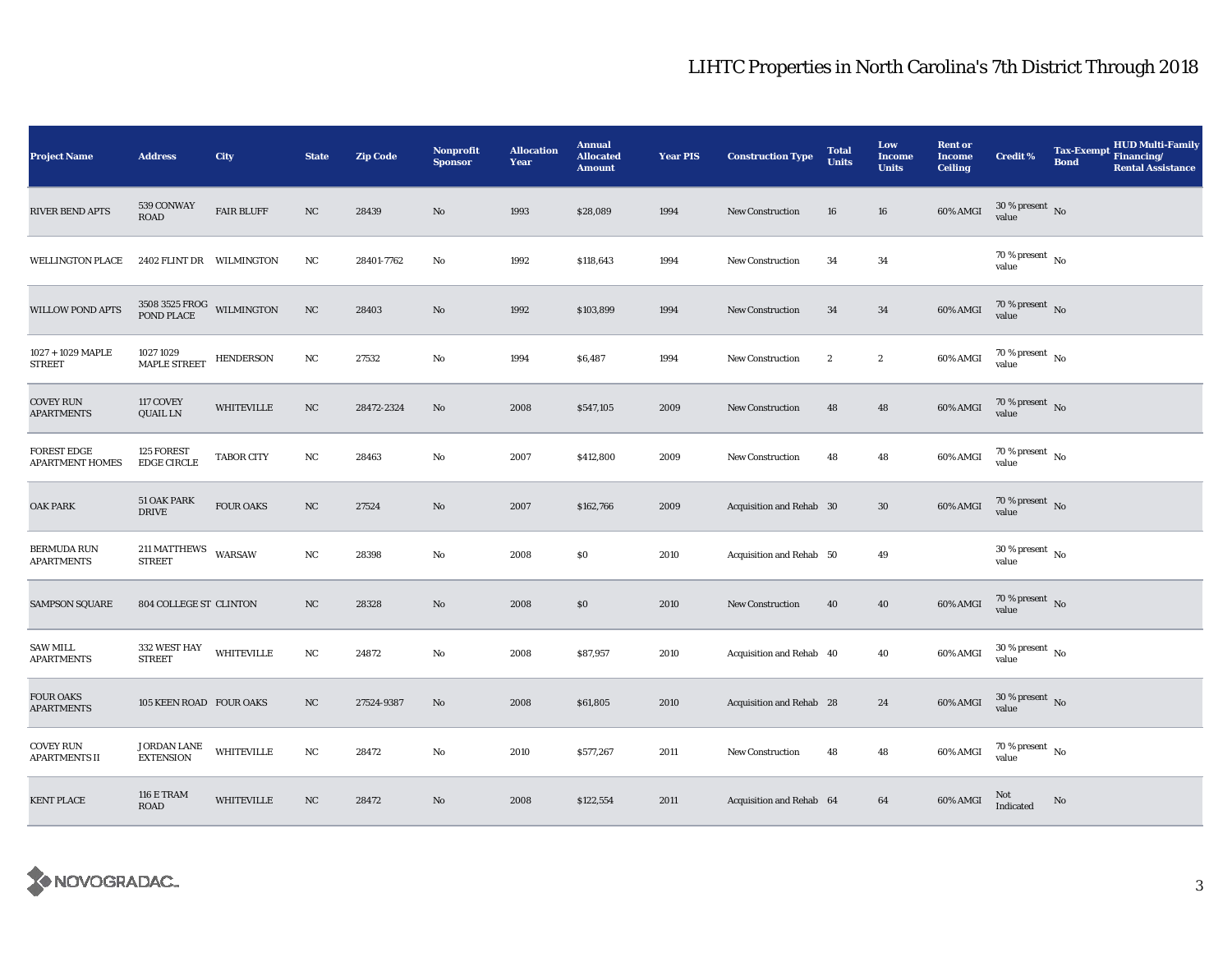| <b>Project Name</b>                          | <b>Address</b>                                    | <b>City</b>       | <b>State</b> | <b>Zip Code</b> | <b>Nonprofit</b><br><b>Sponsor</b> | <b>Allocation</b><br>Year | <b>Annual</b><br><b>Allocated</b><br><b>Amount</b> | <b>Year PIS</b> | <b>Construction Type</b> | <b>Total</b><br><b>Units</b> | Low<br><b>Income</b><br><b>Units</b> | <b>Rent or</b><br><b>Income</b><br><b>Ceiling</b> | <b>Credit %</b>                        | <b>Tax-Exempt</b><br><b>Bond</b> | <b>HUD Multi-Family</b><br>Financing/<br><b>Rental Assistance</b> |
|----------------------------------------------|---------------------------------------------------|-------------------|--------------|-----------------|------------------------------------|---------------------------|----------------------------------------------------|-----------------|--------------------------|------------------------------|--------------------------------------|---------------------------------------------------|----------------------------------------|----------------------------------|-------------------------------------------------------------------|
| <b>RIVER BEND APTS</b>                       | 539 CONWAY<br><b>ROAD</b>                         | <b>FAIR BLUFF</b> | $_{\rm NC}$  | 28439           | No                                 | 1993                      | \$28,089                                           | 1994            | <b>New Construction</b>  | 16                           | 16                                   | 60% AMGI                                          | $30$ % present $\,$ No $\,$<br>value   |                                  |                                                                   |
| <b>WELLINGTON PLACE</b>                      | 2402 FLINT DR WILMINGTON                          |                   | $_{\rm NC}$  | 28401-7762      | No                                 | 1992                      | \$118,643                                          | 1994            | <b>New Construction</b>  | 34                           | 34                                   |                                                   | $70$ % present $\,$ No $\,$<br>value   |                                  |                                                                   |
| <b>WILLOW POND APTS</b>                      | $3508\;3525\;\mathrm{FROG}$ WILMINGTON POND PLACE |                   | $_{\rm NC}$  | 28403           | $\mathbf{N}\mathbf{o}$             | 1992                      | \$103,899                                          | 1994            | <b>New Construction</b>  | 34                           | 34                                   | 60% AMGI                                          | 70 % present $\hbox{~No}$<br>value     |                                  |                                                                   |
| 1027 + 1029 MAPLE<br><b>STREET</b>           | 1027 1029<br><b>MAPLE STREET</b>                  | <b>HENDERSON</b>  | NC           | 27532           | No                                 | 1994                      | \$6,487                                            | 1994            | New Construction         | $\boldsymbol{2}$             | $\boldsymbol{2}$                     | 60% AMGI                                          | 70 % present $\hbox{~No}$<br>value     |                                  |                                                                   |
| <b>COVEY RUN</b><br><b>APARTMENTS</b>        | 117 COVEY<br>QUAIL LN                             | <b>WHITEVILLE</b> | $_{\rm NC}$  | 28472-2324      | $\mathbf{N}\mathbf{o}$             | 2008                      | \$547,105                                          | 2009            | <b>New Construction</b>  | 48                           | 48                                   | 60% AMGI                                          | 70 % present $\hbox{~No}$<br>value     |                                  |                                                                   |
| <b>FOREST EDGE</b><br><b>APARTMENT HOMES</b> | 125 FOREST<br><b>EDGE CIRCLE</b>                  | <b>TABOR CITY</b> | $_{\rm NC}$  | 28463           | No                                 | 2007                      | \$412,800                                          | 2009            | New Construction         | 48                           | 48                                   | 60% AMGI                                          | $70$ % present $\,$ No $\,$<br>value   |                                  |                                                                   |
| <b>OAK PARK</b>                              | 51 OAK PARK<br><b>DRIVE</b>                       | <b>FOUR OAKS</b>  | $_{\rm NC}$  | 27524           | No                                 | 2007                      | \$162,766                                          | 2009            | Acquisition and Rehab 30 |                              | $30\,$                               | 60% AMGI                                          | 70 % present $\hbox{~No}$<br>value     |                                  |                                                                   |
| <b>BERMUDA RUN</b><br><b>APARTMENTS</b>      | 211 MATTHEWS<br><b>STREET</b>                     | WARSAW            | $_{\rm NC}$  | 28398           | No                                 | 2008                      | \$0                                                | 2010            | Acquisition and Rehab 50 |                              | 49                                   |                                                   | $30$ % present $\,$ No $\,$<br>value   |                                  |                                                                   |
| <b>SAMPSON SQUARE</b>                        | 804 COLLEGE ST CLINTON                            |                   | NC           | 28328           | No                                 | 2008                      | \$0                                                | 2010            | New Construction         | 40                           | 40                                   | 60% AMGI                                          | 70 % present $\,$ No $\,$<br>value     |                                  |                                                                   |
| <b>SAW MILL</b><br><b>APARTMENTS</b>         | 332 WEST HAY<br><b>STREET</b>                     | <b>WHITEVILLE</b> | $_{\rm NC}$  | 24872           | No                                 | 2008                      | \$87,957                                           | 2010            | Acquisition and Rehab 40 |                              | 40                                   | 60% AMGI                                          | $30$ % present $\,$ No $\,$<br>value   |                                  |                                                                   |
| <b>FOUR OAKS</b><br><b>APARTMENTS</b>        | 105 KEEN ROAD FOUR OAKS                           |                   | NC           | 27524-9387      | No                                 | 2008                      | \$61,805                                           | 2010            | Acquisition and Rehab 28 |                              | 24                                   | 60% AMGI                                          | $30\,\%$ present $\,$ No $\,$<br>value |                                  |                                                                   |
| <b>COVEY RUN</b><br><b>APARTMENTS II</b>     | JORDAN LANE<br><b>EXTENSION</b>                   | <b>WHITEVILLE</b> | $_{\rm NC}$  | 28472           | No                                 | 2010                      | \$577,267                                          | 2011            | <b>New Construction</b>  | 48                           | 48                                   | 60% AMGI                                          | $70$ % present $\,$ No $\,$<br>value   |                                  |                                                                   |
| <b>KENT PLACE</b>                            | <b>116 E TRAM</b><br><b>ROAD</b>                  | <b>WHITEVILLE</b> | NC           | 28472           | No                                 | 2008                      | \$122,554                                          | 2011            | Acquisition and Rehab 64 |                              | 64                                   | 60% AMGI                                          | Not<br>Indicated                       | No                               |                                                                   |

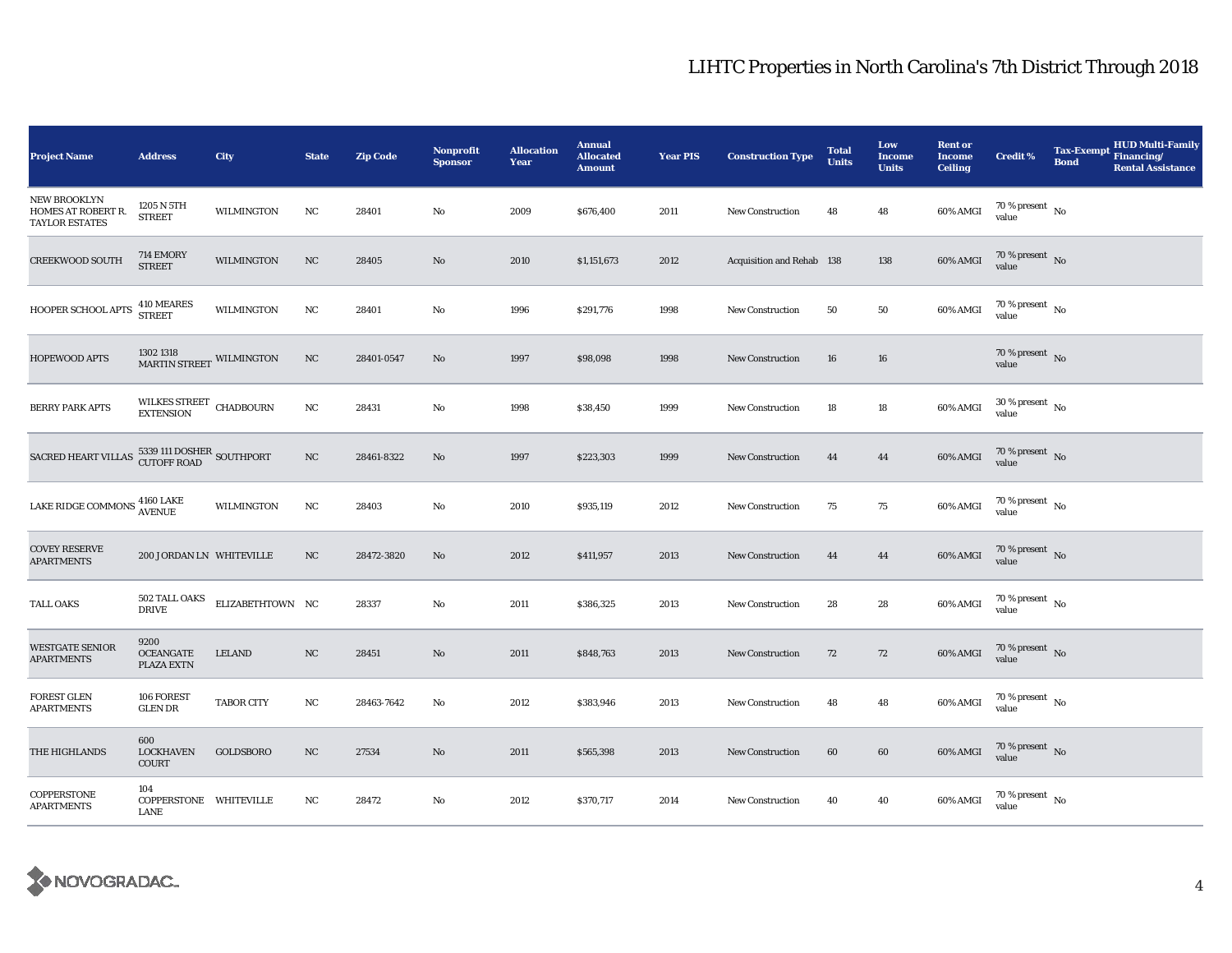| <b>Project Name</b>                                         | <b>Address</b>                                | City              | <b>State</b> | <b>Zip Code</b> | Nonprofit<br><b>Sponsor</b> | <b>Allocation</b><br>Year | <b>Annual</b><br><b>Allocated</b><br><b>Amount</b> | <b>Year PIS</b> | <b>Construction Type</b>  | <b>Total</b><br><b>Units</b> | Low<br><b>Income</b><br><b>Units</b> | <b>Rent or</b><br><b>Income</b><br><b>Ceiling</b> | <b>Credit %</b>                        | <b>Tax-Exempt</b><br><b>Bond</b> | <b>HUD Multi-Family</b><br>Financing/<br><b>Rental Assistance</b> |
|-------------------------------------------------------------|-----------------------------------------------|-------------------|--------------|-----------------|-----------------------------|---------------------------|----------------------------------------------------|-----------------|---------------------------|------------------------------|--------------------------------------|---------------------------------------------------|----------------------------------------|----------------------------------|-------------------------------------------------------------------|
| NEW BROOKLYN<br>HOMES AT ROBERT R.<br><b>TAYLOR ESTATES</b> | 1205 N 5TH<br><b>STREET</b>                   | WILMINGTON        | $_{\rm NC}$  | 28401           | No                          | 2009                      | \$676,400                                          | 2011            | New Construction          | 48                           | 48                                   | 60% AMGI                                          | 70 % present $\hbox{~No}$<br>value     |                                  |                                                                   |
| <b>CREEKWOOD SOUTH</b>                                      | 714 EMORY<br><b>STREET</b>                    | WILMINGTON        | $_{\rm NC}$  | 28405           | No                          | 2010                      | \$1,151,673                                        | 2012            | Acquisition and Rehab 138 |                              | 138                                  | 60% AMGI                                          | 70 % present $\,$ No $\,$<br>value     |                                  |                                                                   |
| HOOPER SCHOOL APTS                                          | 410 MEARES<br>STREET                          | WILMINGTON        | $_{\rm NC}$  | 28401           | $\rm No$                    | 1996                      | \$291,776                                          | 1998            | <b>New Construction</b>   | 50                           | ${\bf 50}$                           | 60% AMGI                                          | $70\,\%$ present $\,$ No value         |                                  |                                                                   |
| HOPEWOOD APTS                                               | $1302\,1318$ MARTIN STREET WILMINGTON         |                   | NC           | 28401-0547      | No                          | 1997                      | \$98,098                                           | 1998            | <b>New Construction</b>   | 16                           | 16                                   |                                                   | 70 % present $\,$ No $\,$<br>value     |                                  |                                                                   |
| BERRY PARK APTS                                             | WILKES STREET CHADBOURN<br>EXTENSION          |                   | NC           | 28431           | No                          | 1998                      | \$38,450                                           | 1999            | <b>New Construction</b>   | 18                           | 18                                   | 60% AMGI                                          | $30$ % present $\,$ No $\,$<br>value   |                                  |                                                                   |
| SACRED HEART VILLAS 5339 111 DOSHER SOUTHPORT               |                                               |                   | NC           | 28461-8322      | $\mathbf{N}\mathbf{o}$      | 1997                      | \$223,303                                          | 1999            | New Construction          | 44                           | 44                                   | $60\%$ AMGI                                       | 70 % present $\hbox{~No}$<br>value     |                                  |                                                                   |
| LAKE RIDGE COMMONS $_{\rm AVENUE}^{4160 \rm \; LAKE}$       |                                               | WILMINGTON        | NC           | 28403           | No                          | 2010                      | \$935,119                                          | 2012            | <b>New Construction</b>   | 75                           | 75                                   | 60% AMGI                                          | $70$ % present $\,$ No $\,$<br>value   |                                  |                                                                   |
| <b>COVEY RESERVE</b><br><b>APARTMENTS</b>                   | 200 JORDAN LN WHITEVILLE                      |                   | $_{\rm NC}$  | 28472-3820      | $\mathbf{N}\mathbf{o}$      | 2012                      | \$411,957                                          | 2013            | <b>New Construction</b>   | 44                           | 44                                   | 60% AMGI                                          | 70 % present $\,$ No $\,$<br>value     |                                  |                                                                   |
| TALL OAKS                                                   | 502 TALL OAKS<br><b>DRIVE</b>                 | ELIZABETHTOWN NC  |              | 28337           | No                          | 2011                      | \$386,325                                          | 2013            | <b>New Construction</b>   | 28                           | 28                                   | 60% AMGI                                          | $70$ % present $\,$ No $\,$<br>value   |                                  |                                                                   |
| <b>WESTGATE SENIOR</b><br><b>APARTMENTS</b>                 | 9200<br><b>OCEANGATE</b><br><b>PLAZA EXTN</b> | <b>LELAND</b>     | NC           | 28451           | No                          | 2011                      | \$848,763                                          | 2013            | <b>New Construction</b>   | 72                           | 72                                   | 60% AMGI                                          | $70$ % present $\,$ No $\,$<br>value   |                                  |                                                                   |
| FOREST GLEN<br><b>APARTMENTS</b>                            | 106 FOREST<br><b>GLEN DR</b>                  | <b>TABOR CITY</b> | NC           | 28463-7642      | No                          | 2012                      | \$383,946                                          | 2013            | <b>New Construction</b>   | 48                           | 48                                   | 60% AMGI                                          | $70$ % present $\,$ No $\,$<br>value   |                                  |                                                                   |
| THE HIGHLANDS                                               | 600<br><b>LOCKHAVEN</b><br><b>COURT</b>       | GOLDSBORO         | NC           | 27534           | No                          | 2011                      | \$565,398                                          | 2013            | <b>New Construction</b>   | 60                           | 60                                   | 60% AMGI                                          | $70$ % present $$\rm{No}$$ value       |                                  |                                                                   |
| COPPERSTONE<br><b>APARTMENTS</b>                            | 104<br>COPPERSTONE WHITEVILLE<br>LANE         |                   | NC           | 28472           | No                          | 2012                      | \$370,717                                          | 2014            | <b>New Construction</b>   | 40                           | 40                                   | 60% AMGI                                          | $70$ % present $_{\, \rm No}$<br>value |                                  |                                                                   |

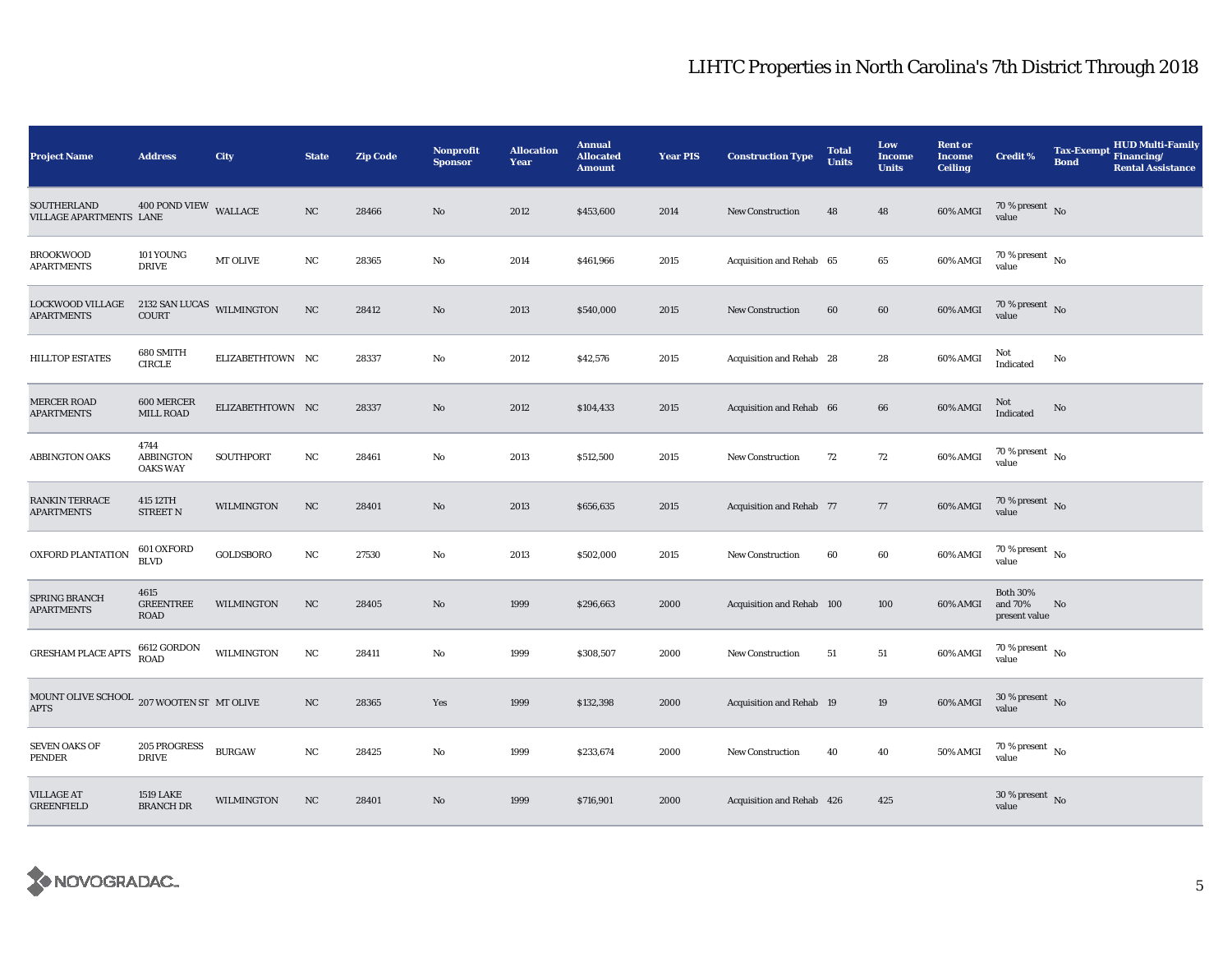| <b>Project Name</b>                                      | <b>Address</b>                              | <b>City</b>       | <b>State</b> | <b>Zip Code</b> | <b>Nonprofit</b><br><b>Sponsor</b> | <b>Allocation</b><br>Year | <b>Annual</b><br><b>Allocated</b><br><b>Amount</b> | <b>Year PIS</b> | <b>Construction Type</b>        | <b>Total</b><br><b>Units</b> | Low<br><b>Income</b><br><b>Units</b> | <b>Rent or</b><br><b>Income</b><br><b>Ceiling</b> | <b>Credit %</b>                             | <b>Tax-Exempt</b><br><b>Bond</b> | <b>HUD Multi-Family</b><br>Financing/<br><b>Rental Assistance</b> |
|----------------------------------------------------------|---------------------------------------------|-------------------|--------------|-----------------|------------------------------------|---------------------------|----------------------------------------------------|-----------------|---------------------------------|------------------------------|--------------------------------------|---------------------------------------------------|---------------------------------------------|----------------------------------|-------------------------------------------------------------------|
| SOUTHERLAND<br>VILLAGE APARTMENTS LANE                   | 400 POND VIEW WALLACE                       |                   | NC           | 28466           | $\mathbf{No}$                      | 2012                      | \$453,600                                          | 2014            | New Construction                | 48                           | 48                                   | 60% AMGI                                          | $70\,\%$ present $\,$ No value              |                                  |                                                                   |
| <b>BROOKWOOD</b><br><b>APARTMENTS</b>                    | 101 YOUNG<br><b>DRIVE</b>                   | MT OLIVE          | NC           | 28365           | No                                 | 2014                      | \$461,966                                          | 2015            | Acquisition and Rehab 65        |                              | $\bf 65$                             | 60% AMGI                                          | 70 % present $\,$ No $\,$<br>value          |                                  |                                                                   |
| LOCKWOOD VILLAGE<br><b>APARTMENTS</b>                    | 2132 SAN LUCAS WILMINGTON<br><b>COURT</b>   |                   | $_{\rm NC}$  | 28412           | No                                 | 2013                      | \$540,000                                          | 2015            | New Construction                | 60                           | 60                                   | 60% AMGI                                          | $70\,\%$ present $\,$ No value              |                                  |                                                                   |
| <b>HILLTOP ESTATES</b>                                   | 680 SMITH<br><b>CIRCLE</b>                  | ELIZABETHTOWN NC  |              | 28337           | No                                 | 2012                      | \$42,576                                           | 2015            | Acquisition and Rehab 28        |                              | 28                                   | 60% AMGI                                          | Not<br>Indicated                            | No                               |                                                                   |
| <b>MERCER ROAD</b><br><b>APARTMENTS</b>                  | 600 MERCER<br>MILL ROAD                     | ELIZABETHTOWN NC  |              | 28337           | $\mathbf{No}$                      | 2012                      | \$104,433                                          | 2015            | Acquisition and Rehab 66        |                              | 66                                   | 60% AMGI                                          | Not<br>Indicated                            | No                               |                                                                   |
| <b>ABBINGTON OAKS</b>                                    | 4744<br><b>ABBINGTON</b><br><b>OAKS WAY</b> | SOUTHPORT         | $_{\rm NC}$  | 28461           | No                                 | 2013                      | \$512,500                                          | 2015            | <b>New Construction</b>         | 72                           | 72                                   | 60% AMGI                                          | $70$ % present $\,$ No $\,$<br>value        |                                  |                                                                   |
| RANKIN TERRACE<br><b>APARTMENTS</b>                      | 415 12TH<br>STREET N                        | <b>WILMINGTON</b> | NC           | 28401           | No                                 | 2013                      | \$656,635                                          | 2015            | <b>Acquisition and Rehab 77</b> |                              | 77                                   | 60% AMGI                                          | $70\,\%$ present $\,$ No value              |                                  |                                                                   |
| OXFORD PLANTATION                                        | 601 OXFORD<br><b>BLVD</b>                   | GOLDSBORO         | $_{\rm NC}$  | 27530           | No                                 | 2013                      | \$502,000                                          | 2015            | <b>New Construction</b>         | 60                           | 60                                   | 60% AMGI                                          | $70$ % present $\,$ No $\,$<br>value        |                                  |                                                                   |
| SPRING BRANCH<br><b>APARTMENTS</b>                       | 4615<br><b>GREENTREE</b><br><b>ROAD</b>     | WILMINGTON        | NC           | 28405           | $\mathbf{No}$                      | 1999                      | \$296,663                                          | 2000            | Acquisition and Rehab 100       |                              | 100                                  | 60% AMGI                                          | <b>Both 30%</b><br>and 70%<br>present value | No                               |                                                                   |
| <b>GRESHAM PLACE APTS</b>                                | $6612\ \mathrm{GORDON}$<br><b>ROAD</b>      | WILMINGTON        | $_{\rm NC}$  | 28411           | No                                 | 1999                      | \$308,507                                          | 2000            | <b>New Construction</b>         | 51                           | 51                                   | 60% AMGI                                          | 70 % present $\hbox{~No}$<br>value          |                                  |                                                                   |
| MOUNT OLIVE SCHOOL 207 WOOTEN ST MT OLIVE<br><b>APTS</b> |                                             |                   | $_{\rm NC}$  | 28365           | Yes                                | 1999                      | \$132,398                                          | 2000            | Acquisition and Rehab 19        |                              | $19\,$                               | 60% AMGI                                          | $30$ % present $\,$ No $\,$<br>value        |                                  |                                                                   |
| <b>SEVEN OAKS OF</b><br>PENDER                           | 205 PROGRESS<br><b>DRIVE</b>                | <b>BURGAW</b>     | NC           | 28425           | No                                 | 1999                      | \$233,674                                          | 2000            | New Construction                | 40                           | 40                                   | 50% AMGI                                          | $70$ % present $\,$ No $\,$<br>value        |                                  |                                                                   |
| <b>VILLAGE AT</b><br><b>GREENFIELD</b>                   | <b>1519 LAKE</b><br><b>BRANCH DR</b>        | <b>WILMINGTON</b> | NC           | 28401           | $\mathbf{No}$                      | 1999                      | \$716,901                                          | 2000            | Acquisition and Rehab 426       |                              | 425                                  |                                                   | $30\,\%$ present $\,$ No $\,$<br>value      |                                  |                                                                   |

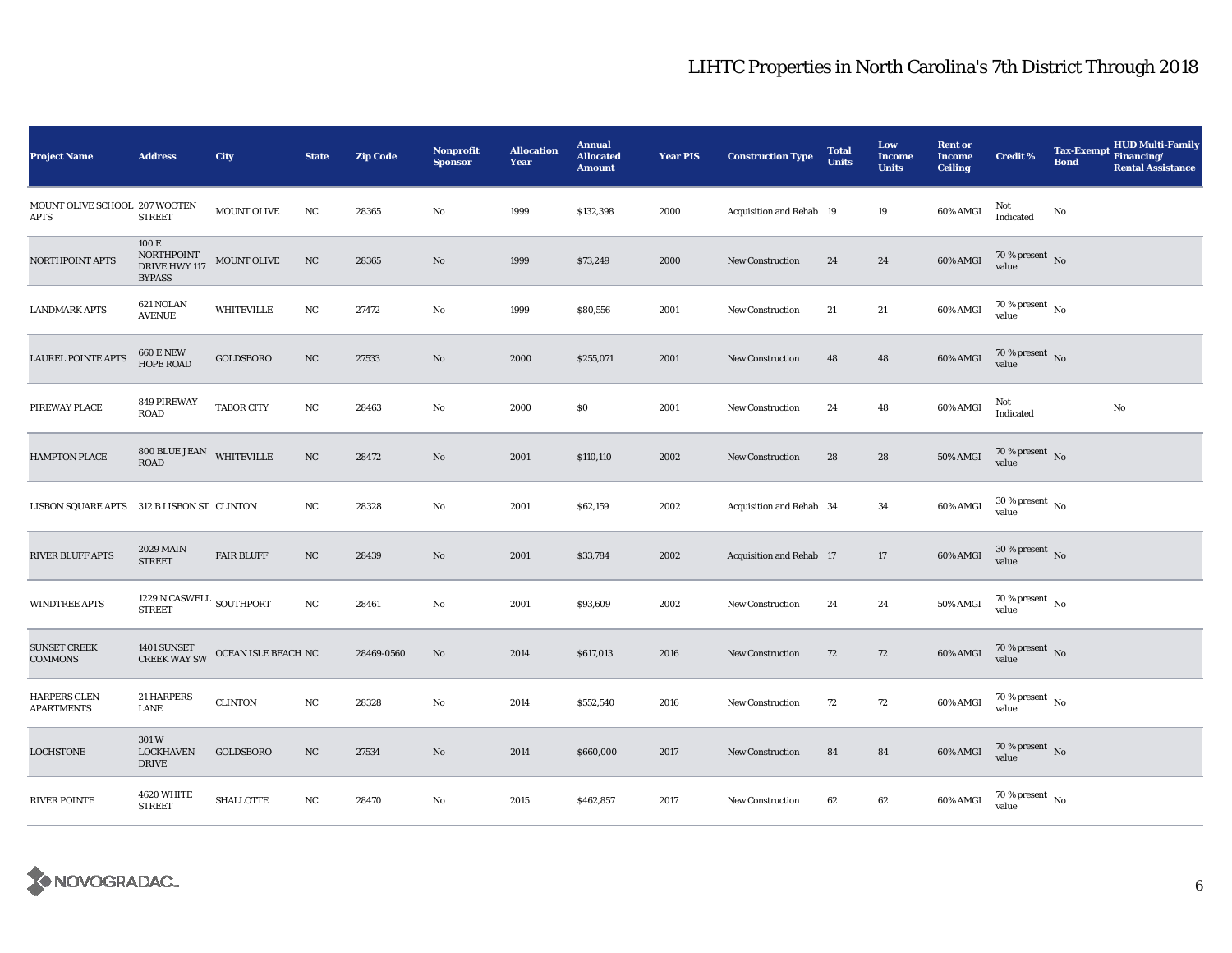| <b>Project Name</b>                          | <b>Address</b>                                        | City                | <b>State</b> | <b>Zip Code</b> | <b>Nonprofit</b><br><b>Sponsor</b> | <b>Allocation</b><br>Year | <b>Annual</b><br><b>Allocated</b><br><b>Amount</b> | <b>Year PIS</b> | <b>Construction Type</b> | <b>Total</b><br><b>Units</b> | Low<br><b>Income</b><br><b>Units</b> | <b>Rent or</b><br><b>Income</b><br><b>Ceiling</b> | <b>Credit %</b>                          | <b>Bond</b> | <b>HUD Multi-Family</b><br>Tax-Exempt Financing/<br><b>Rental Assistance</b> |
|----------------------------------------------|-------------------------------------------------------|---------------------|--------------|-----------------|------------------------------------|---------------------------|----------------------------------------------------|-----------------|--------------------------|------------------------------|--------------------------------------|---------------------------------------------------|------------------------------------------|-------------|------------------------------------------------------------------------------|
| MOUNT OLIVE SCHOOL 207 WOOTEN<br><b>APTS</b> | <b>STREET</b>                                         | MOUNT OLIVE         | NC           | 28365           | No                                 | 1999                      | \$132,398                                          | 2000            | Acquisition and Rehab 19 |                              | 19                                   | 60% AMGI                                          | Not<br>Indicated                         | No          |                                                                              |
| NORTHPOINT APTS                              | 100 E<br>NORTHPOINT<br>DRIVE HWY 117<br><b>BYPASS</b> | MOUNT OLIVE         | NC           | 28365           | $\mathbf{N}\mathbf{o}$             | 1999                      | \$73,249                                           | 2000            | New Construction         | 24                           | 24                                   | 60% AMGI                                          | $70\,\%$ present $\,$ No value           |             |                                                                              |
| <b>LANDMARK APTS</b>                         | 621 NOLAN<br><b>AVENUE</b>                            | WHITEVILLE          | NC           | 27472           | No                                 | 1999                      | \$80,556                                           | 2001            | New Construction         | 21                           | 21                                   | 60% AMGI                                          | 70 % present $\hbox{~No}$<br>value       |             |                                                                              |
| <b>LAUREL POINTE APTS</b>                    | <b>660 E NEW</b><br><b>HOPE ROAD</b>                  | GOLDSBORO           | $_{\rm NC}$  | 27533           | $\mathbf{N}\mathbf{o}$             | 2000                      | \$255,071                                          | 2001            | New Construction         | 48                           | 48                                   | 60% AMGI                                          | 70 % present $\hbox{~No}$<br>value       |             |                                                                              |
| PIREWAY PLACE                                | 849 PIREWAY<br><b>ROAD</b>                            | <b>TABOR CITY</b>   | $_{\rm NC}$  | 28463           | No                                 | 2000                      | \$0                                                | 2001            | <b>New Construction</b>  | 24                           | 48                                   | 60% AMGI                                          | Not<br>Indicated                         |             | No                                                                           |
| HAMPTON PLACE                                | $800$ BLUE JEAN WHITEVILLE ROAD                       |                     | $_{\rm NC}$  | 28472           | No                                 | 2001                      | \$110,110                                          | 2002            | <b>New Construction</b>  | 28                           | ${\bf 28}$                           | 50% AMGI                                          | $70\,\%$ present $${\rm No}$$ value      |             |                                                                              |
| <b>LISBON SQUARE APTS</b>                    | 312 B LISBON ST CLINTON                               |                     | NC           | 28328           | No                                 | 2001                      | \$62,159                                           | 2002            | Acquisition and Rehab 34 |                              | 34                                   | 60% AMGI                                          | $30$ % present $\,$ No $\,$<br>value     |             |                                                                              |
| <b>RIVER BLUFF APTS</b>                      | <b>2029 MAIN</b><br><b>STREET</b>                     | <b>FAIR BLUFF</b>   | $_{\rm NC}$  | 28439           | $\mathbf{N}\mathbf{o}$             | 2001                      | \$33,784                                           | 2002            | Acquisition and Rehab 17 |                              | $17\,$                               | 60% AMGI                                          | $30\,\%$ present $\,$ No value           |             |                                                                              |
| <b>WINDTREE APTS</b>                         | 1229 N CASWELL $_{\rm SOUTHPORT}$<br><b>STREET</b>    |                     | $_{\rm NC}$  | 28461           | No                                 | 2001                      | \$93,609                                           | 2002            | New Construction         | 24                           | 24                                   | 50% AMGI                                          | $70$ % present $\,$ No $\,$<br>value     |             |                                                                              |
| <b>SUNSET CREEK</b><br><b>COMMONS</b>        | 1401 SUNSET<br><b>CREEK WAY SW</b>                    | OCEAN ISLE BEACH NC |              | 28469-0560      | $\mathbf{N}\mathbf{o}$             | 2014                      | \$617,013                                          | 2016            | New Construction         | 72                           | 72                                   | 60% AMGI                                          | $70$ % present $\,$ No $\,$<br>value     |             |                                                                              |
| <b>HARPERS GLEN</b><br><b>APARTMENTS</b>     | 21 HARPERS<br>LANE                                    | <b>CLINTON</b>      | $_{\rm NC}$  | 28328           | No                                 | 2014                      | \$552,540                                          | 2016            | New Construction         | 72                           | 72                                   | 60% AMGI                                          | 70 % present $\hbox{~No}$<br>value       |             |                                                                              |
| <b>LOCHSTONE</b>                             | 301W<br><b>LOCKHAVEN</b><br><b>DRIVE</b>              | GOLDSBORO           | $_{\rm NC}$  | 27534           | No                                 | 2014                      | \$660,000                                          | 2017            | <b>New Construction</b>  | 84                           | 84                                   | 60% AMGI                                          | $70\,\%$ present $${\rm No}$$ value      |             |                                                                              |
| <b>RIVER POINTE</b>                          | 4620 WHITE<br><b>STREET</b>                           | <b>SHALLOTTE</b>    | NC           | 28470           | No                                 | 2015                      | \$462,857                                          | 2017            | <b>New Construction</b>  | 62                           | 62                                   | 60% AMGI                                          | $70\,\%$ present $_{\, \rm No}$<br>value |             |                                                                              |

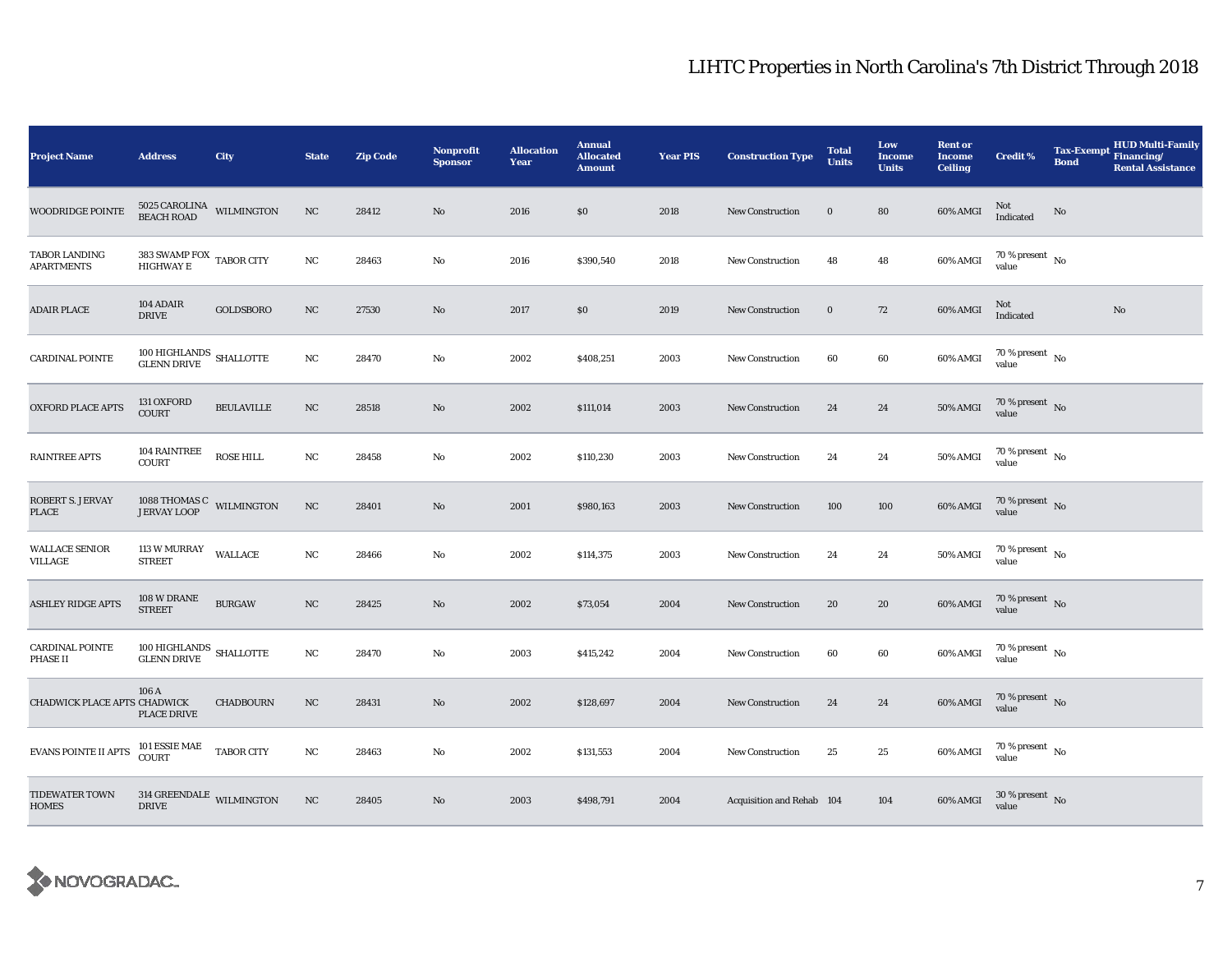| <b>Project Name</b>                   | <b>Address</b>                                      | City              | <b>State</b> | <b>Zip Code</b> | Nonprofit<br><b>Sponsor</b> | <b>Allocation</b><br>Year | <b>Annual</b><br><b>Allocated</b><br><b>Amount</b> | <b>Year PIS</b> | <b>Construction Type</b>  | <b>Total</b><br><b>Units</b> | Low<br>Income<br><b>Units</b> | <b>Rent or</b><br><b>Income</b><br><b>Ceiling</b> | <b>Credit %</b>                        | <b>Tax-Exempt</b><br><b>Bond</b> | <b>HUD Multi-Family</b><br>Financing/<br><b>Rental Assistance</b> |
|---------------------------------------|-----------------------------------------------------|-------------------|--------------|-----------------|-----------------------------|---------------------------|----------------------------------------------------|-----------------|---------------------------|------------------------------|-------------------------------|---------------------------------------------------|----------------------------------------|----------------------------------|-------------------------------------------------------------------|
| WOODRIDGE POINTE                      | $5025$ CAROLINA $$\tt WILMINGTON$$ BEACH ROAD       |                   | NC           | 28412           | $\mathbf{No}$               | 2016                      | \$0                                                | 2018            | <b>New Construction</b>   | $\bf{0}$                     | 80                            | 60% AMGI                                          | Not<br>Indicated                       | No                               |                                                                   |
| TABOR LANDING<br><b>APARTMENTS</b>    | $383$ SWAMP FOX $\:$ TABOR CITY HIGHWAY $\rm E$     |                   | NC           | 28463           | No                          | 2016                      | \$390,540                                          | 2018            | <b>New Construction</b>   | 48                           | 48                            | 60% AMGI                                          | $70$ % present $\,$ No $\,$<br>value   |                                  |                                                                   |
| <b>ADAIR PLACE</b>                    | 104 ADAIR<br><b>DRIVE</b>                           | GOLDSBORO         | NC           | 27530           | No                          | 2017                      | $\$0$                                              | 2019            | <b>New Construction</b>   | $\bf{0}$                     | 72                            | 60% AMGI                                          | Not<br>Indicated                       |                                  | No                                                                |
| <b>CARDINAL POINTE</b>                | $100\,$ HIGHLANDS $\,$ SHALLOTTE GLENN DRIVE        |                   | NC           | 28470           | No                          | 2002                      | \$408,251                                          | 2003            | New Construction          | 60                           | $\bf{60}$                     | 60% AMGI                                          | 70 % present $\hbox{~No}$<br>value     |                                  |                                                                   |
| <b>OXFORD PLACE APTS</b>              | 131 OXFORD<br><b>COURT</b>                          | <b>BEULAVILLE</b> | NC           | 28518           | No                          | 2002                      | \$111,014                                          | 2003            | <b>New Construction</b>   | 24                           | 24                            | <b>50% AMGI</b>                                   | 70 % present $\hbox{~No}$<br>value     |                                  |                                                                   |
| <b>RAINTREE APTS</b>                  | 104 RAINTREE<br><b>COURT</b>                        | <b>ROSE HILL</b>  | NC           | 28458           | No                          | 2002                      | \$110,230                                          | 2003            | <b>New Construction</b>   | 24                           | 24                            | 50% AMGI                                          | 70 % present $\hbox{~No}$<br>value     |                                  |                                                                   |
| ROBERT S. JERVAY<br>PLACE             | $1088$ THOMAS C $$\tt WILMINGTON$$ JERVAY LOOP      |                   | NC           | 28401           | No                          | 2001                      | \$980,163                                          | 2003            | <b>New Construction</b>   | 100                          | 100                           | 60% AMGI                                          | 70 % present $\hbox{~No}$<br>value     |                                  |                                                                   |
| <b>WALLACE SENIOR</b><br>VILLAGE      | <b>113 W MURRAY</b><br><b>STREET</b>                | <b>WALLACE</b>    | $_{\rm NC}$  | 28466           | No                          | 2002                      | \$114,375                                          | 2003            | <b>New Construction</b>   | 24                           | 24                            | 50% AMGI                                          | 70 % present $\hbox{~No}$<br>value     |                                  |                                                                   |
| <b>ASHLEY RIDGE APTS</b>              | 108 W DRANE<br><b>STREET</b>                        | <b>BURGAW</b>     | NC           | 28425           | No                          | 2002                      | \$73,054                                           | 2004            | New Construction          | 20                           | 20                            | 60% AMGI                                          | $70$ % present $\,$ No $\,$<br>value   |                                  |                                                                   |
| <b>CARDINAL POINTE</b><br>PHASE II    | $100\,$ HIGHLANDS $\,$ SHALLOTTE GLENN DRIVE        |                   | NC           | 28470           | No                          | 2003                      | \$415,242                                          | 2004            | New Construction          | 60                           | 60                            | 60% AMGI                                          | $70$ % present $\,$ No $\,$<br>value   |                                  |                                                                   |
| CHADWICK PLACE APTS CHADWICK          | 106 A<br><b>PLACE DRIVE</b>                         | <b>CHADBOURN</b>  | NC           | 28431           | No                          | 2002                      | \$128,697                                          | 2004            | <b>New Construction</b>   | 24                           | 24                            | 60% AMGI                                          | 70 % present $\hbox{~No}$<br>value     |                                  |                                                                   |
| <b>EVANS POINTE II APTS</b>           | $101$ ESSIE MAE $\,$<br><b>COURT</b>                | <b>TABOR CITY</b> | NC           | 28463           | No                          | 2002                      | \$131,553                                          | 2004            | <b>New Construction</b>   | 25                           | 25                            | 60% AMGI                                          | 70 % present $\hbox{~No}$<br>value     |                                  |                                                                   |
| <b>TIDEWATER TOWN</b><br><b>HOMES</b> | $314~\mathrm{GREENDALE}$ WILMINGTON<br><b>DRIVE</b> |                   | NC           | 28405           | $\mathbf{N}\mathbf{o}$      | 2003                      | \$498,791                                          | 2004            | Acquisition and Rehab 104 |                              | 104                           | 60% AMGI                                          | $30\,\%$ present $\,$ No $\,$<br>value |                                  |                                                                   |

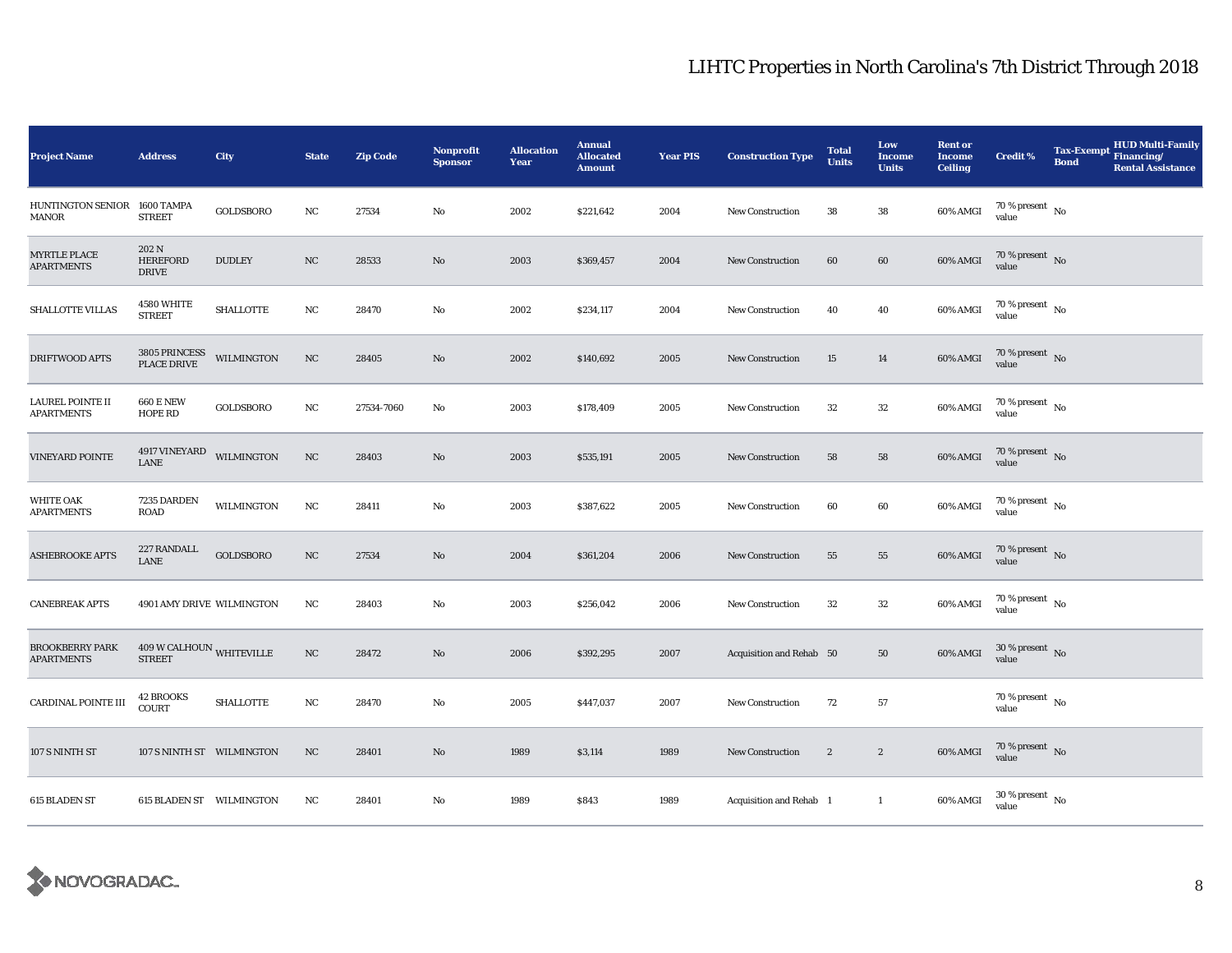| <b>Project Name</b>                          | <b>Address</b>                           | City              | <b>State</b>     | <b>Zip Code</b> | <b>Nonprofit</b><br><b>Sponsor</b> | <b>Allocation</b><br>Year | <b>Annual</b><br><b>Allocated</b><br><b>Amount</b> | <b>Year PIS</b> | <b>Construction Type</b> | <b>Total</b><br><b>Units</b> | Low<br><b>Income</b><br><b>Units</b> | <b>Rent or</b><br><b>Income</b><br><b>Ceiling</b> | <b>Credit %</b>                          | <b>HUD Multi-Family</b><br>Tax-Exempt Financing/<br><b>Bond</b><br><b>Rental Assistance</b> |
|----------------------------------------------|------------------------------------------|-------------------|------------------|-----------------|------------------------------------|---------------------------|----------------------------------------------------|-----------------|--------------------------|------------------------------|--------------------------------------|---------------------------------------------------|------------------------------------------|---------------------------------------------------------------------------------------------|
| <b>HUNTINGTON SENIOR</b><br>MANOR            | 1600 TAMPA<br><b>STREET</b>              | GOLDSBORO         | NC               | 27534           | No                                 | 2002                      | \$221,642                                          | 2004            | <b>New Construction</b>  | 38                           | 38                                   | 60% AMGI                                          | $70\,\%$ present $\,$ No value           |                                                                                             |
| <b>MYRTLE PLACE</b><br><b>APARTMENTS</b>     | 202 N<br><b>HEREFORD</b><br><b>DRIVE</b> | <b>DUDLEY</b>     | NC               | 28533           | No                                 | 2003                      | \$369,457                                          | 2004            | <b>New Construction</b>  | 60                           | 60                                   | 60% AMGI                                          | 70 % present No<br>value                 |                                                                                             |
| SHALLOTTE VILLAS                             | 4580 WHITE<br><b>STREET</b>              | <b>SHALLOTTE</b>  | NC               | 28470           | No                                 | 2002                      | \$234,117                                          | 2004            | New Construction         | 40                           | 40                                   | 60% AMGI                                          | 70 % present $\hbox{~No}$<br>value       |                                                                                             |
| DRIFTWOOD APTS                               | 3805 PRINCESS<br>PLACE DRIVE             | <b>WILMINGTON</b> | $_{\rm NC}$      | 28405           | $\mathbf{N}\mathbf{o}$             | 2002                      | \$140,692                                          | 2005            | New Construction         | 15                           | 14                                   | 60% AMGI                                          | 70 % present $\hbox{~No}$<br>value       |                                                                                             |
| <b>LAUREL POINTE II</b><br><b>APARTMENTS</b> | <b>660 E NEW</b><br><b>HOPE RD</b>       | GOLDSBORO         | NC               | 27534-7060      | No                                 | 2003                      | \$178,409                                          | 2005            | <b>New Construction</b>  | $32\,$                       | $32\,$                               | 60% AMGI                                          | $70$ % present $\,$ No $\,$<br>value     |                                                                                             |
| <b>VINEYARD POINTE</b>                       | $4917$ VINEYARD $$\tt WILMINGTON$$ LANE  |                   | $_{\rm NC}$      | 28403           | No                                 | 2003                      | \$535,191                                          | 2005            | <b>New Construction</b>  | 58                           | 58                                   | $60\%$ AMGI                                       | $70\,\%$ present $\,$ No value           |                                                                                             |
| <b>WHITE OAK</b><br><b>APARTMENTS</b>        | 7235 DARDEN<br><b>ROAD</b>               | <b>WILMINGTON</b> | NC               | 28411           | No                                 | 2003                      | \$387,622                                          | 2005            | <b>New Construction</b>  | 60                           | 60                                   | 60% AMGI                                          | $70$ % present $\,$ No $\,$<br>value     |                                                                                             |
| <b>ASHEBROOKE APTS</b>                       | 227 RANDALL<br>LANE                      | GOLDSBORO         | NC               | 27534           | No                                 | 2004                      | \$361,204                                          | 2006            | New Construction         | 55                           | ${\bf 55}$                           | 60% AMGI                                          | $70\,\%$ present $\,$ No value           |                                                                                             |
| <b>CANEBREAK APTS</b>                        | 4901 AMY DRIVE WILMINGTON                |                   | NC               | 28403           | No                                 | 2003                      | \$256,042                                          | 2006            | New Construction         | $32\,$                       | $32\,$                               | 60% AMGI                                          | $70\,\%$ present $\,$ No value           |                                                                                             |
| <b>BROOKBERRY PARK</b><br><b>APARTMENTS</b>  | $409\,\rm{W}$ CALHOUN WHITEVILLE STREET  |                   | $_{\mathrm{NC}}$ | 28472           | $\mathbf{No}$                      | 2006                      | \$392,295                                          | 2007            | Acquisition and Rehab 50 |                              | ${\bf 50}$                           | 60% AMGI                                          | $30\,\%$ present $\,$ No $\,$<br>value   |                                                                                             |
| <b>CARDINAL POINTE III</b>                   | <b>42 BROOKS</b><br><b>COURT</b>         | <b>SHALLOTTE</b>  | $_{\rm NC}$      | 28470           | No                                 | 2005                      | \$447,037                                          | 2007            | <b>New Construction</b>  | 72                           | 57                                   |                                                   | 70 % present $\hbox{~No}$<br>value       |                                                                                             |
| 107 S NINTH ST                               | 107 S NINTH ST WILMINGTON                |                   | NC               | 28401           | No                                 | 1989                      | \$3,114                                            | 1989            | <b>New Construction</b>  | $\boldsymbol{2}$             | $\boldsymbol{2}$                     | 60% AMGI                                          | $70\,\%$ present $\,$ No value           |                                                                                             |
| 615 BLADEN ST                                | <b>615 BLADEN ST WILMINGTON</b>          |                   | NC               | 28401           | No                                 | 1989                      | \$843                                              | 1989            | Acquisition and Rehab 1  |                              | $\mathbf{1}$                         | 60% AMGI                                          | $30\,\%$ present $_{\, \rm No}$<br>value |                                                                                             |

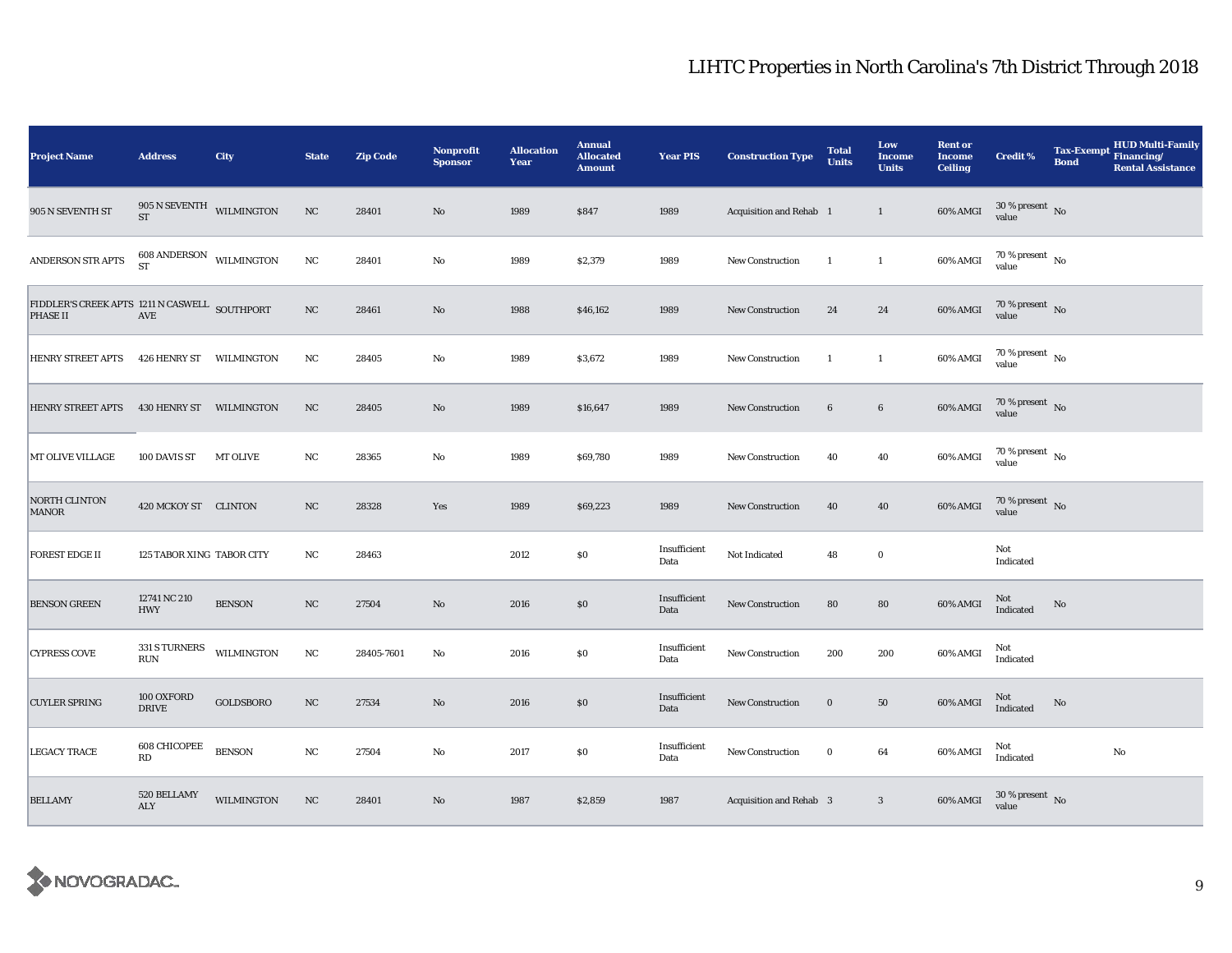| <b>Project Name</b>                                                                                                                                | <b>Address</b>                                    | City              | <b>State</b> | <b>Zip Code</b> | <b>Nonprofit</b><br><b>Sponsor</b> | <b>Allocation</b><br>Year | <b>Annual</b><br><b>Allocated</b><br><b>Amount</b> | <b>Year PIS</b>      | <b>Construction Type</b>       | <b>Total</b><br><b>Units</b> | Low<br><b>Income</b><br><b>Units</b> | <b>Rent or</b><br><b>Income</b><br><b>Ceiling</b> | Credit %                                                        | <b>Tax-Exempt</b><br><b>Bond</b> | HUD Multi-Family<br>Financing/<br><b>Rental Assistance</b> |
|----------------------------------------------------------------------------------------------------------------------------------------------------|---------------------------------------------------|-------------------|--------------|-----------------|------------------------------------|---------------------------|----------------------------------------------------|----------------------|--------------------------------|------------------------------|--------------------------------------|---------------------------------------------------|-----------------------------------------------------------------|----------------------------------|------------------------------------------------------------|
| 905 N SEVENTH ST                                                                                                                                   | $905$ N SEVENTH $$\tt WILMINGTON$$<br><b>ST</b>   |                   | NC           | 28401           | No                                 | 1989                      | \$847                                              | 1989                 | Acquisition and Rehab 1        |                              | $\mathbf{1}$                         | 60% AMGI                                          | $30\,\%$ present $\,$ No value                                  |                                  |                                                            |
| ANDERSON STR APTS                                                                                                                                  | $608$ ANDERSON WILMINGTON ST                      |                   | NC           | 28401           | $\mathbf{No}$                      | 1989                      | \$2,379                                            | 1989                 | New Construction               | $\overline{1}$               | $\mathbf{1}$                         | 60% AMGI                                          | $70\,\%$ present $_{\, \rm No}$<br>value                        |                                  |                                                            |
| $\begin{tabular}{ll} \bf FIDDLER'S \bf CREEK \bf APTS \ 1211 \bf N \bf CASWELL \  \  \, \bf SOUTHPORT \\ \bf PHASE \bf II & \bf AVE \end{tabular}$ |                                                   |                   | $_{\rm NC}$  | 28461           | $\mathbf{N}\mathbf{o}$             | 1988                      | \$46,162                                           | 1989                 | New Construction               | 24                           | 24                                   | 60% AMGI                                          | $70\,\%$ present $\,$ No value                                  |                                  |                                                            |
| <b>HENRY STREET APTS</b>                                                                                                                           | 426 HENRY ST                                      | WILMINGTON        | NC           | 28405           | No                                 | 1989                      | \$3,672                                            | 1989                 | New Construction               | -1                           | $\mathbf{1}$                         | 60% AMGI                                          | $70\,\%$ present $\,$ No value                                  |                                  |                                                            |
| <b>HENRY STREET APTS</b>                                                                                                                           | 430 HENRY ST WILMINGTON                           |                   | NC           | 28405           | No                                 | 1989                      | \$16,647                                           | 1989                 | New Construction               | $6\phantom{.}6$              | $\bf 6$                              | $60\%$ AMGI                                       | $70\,\%$ present $\,$ No value                                  |                                  |                                                            |
| MT OLIVE VILLAGE                                                                                                                                   | 100 DAVIS ST                                      | MT OLIVE          | NC           | 28365           | No                                 | 1989                      | \$69,780                                           | 1989                 | <b>New Construction</b>        | 40                           | 40                                   | 60% AMGI                                          | $70\,\%$ present $\,$ No value                                  |                                  |                                                            |
| NORTH CLINTON<br>MANOR                                                                                                                             | 420 MCKOY ST CLINTON                              |                   | NC           | 28328           | Yes                                | 1989                      | \$69,223                                           | 1989                 | New Construction               | 40                           | $40\,$                               | 60% AMGI                                          | $70\,\%$ present $\,$ No value                                  |                                  |                                                            |
| <b>FOREST EDGE II</b>                                                                                                                              | 125 TABOR XING TABOR CITY                         |                   | NC           | 28463           |                                    | 2012                      | $\$0$                                              | Insufficient<br>Data | Not Indicated                  | 48                           | $\bf{0}$                             |                                                   | Not<br>Indicated                                                |                                  |                                                            |
| <b>BENSON GREEN</b>                                                                                                                                | 12741 NC 210<br><b>HWY</b>                        | <b>BENSON</b>     | NC           | 27504           | $\mathbf{N}\mathbf{o}$             | 2016                      | \$0                                                | Insufficient<br>Data | New Construction               | 80                           | 80                                   | $60\%$ AMGI                                       | Not<br>Indicated                                                | No                               |                                                            |
| <b>CYPRESS COVE</b>                                                                                                                                | 331 S TURNERS<br>$\mathbf{R}\mathbf{U}\mathbf{N}$ | WILMINGTON        | NC           | 28405-7601      | No                                 | 2016                      | \$0                                                | Insufficient<br>Data | New Construction               | 200                          | 200                                  | 60% AMGI                                          | Not<br>Indicated                                                |                                  |                                                            |
| <b>CUYLER SPRING</b>                                                                                                                               | 100 OXFORD<br><b>DRIVE</b>                        | GOLDSBORO         | NC           | 27534           | $\mathbf{N}\mathbf{o}$             | 2016                      | \$0                                                | Insufficient<br>Data | <b>New Construction</b>        | $\bf{0}$                     | 50                                   | 60% AMGI                                          | Not<br>Indicated                                                | $\mathbf{N}\mathbf{o}$           |                                                            |
| <b>LEGACY TRACE</b>                                                                                                                                | 608 CHICOPEE<br>$\mathbf{R}\mathbf{D}$            | <b>BENSON</b>     | NC           | 27504           | No                                 | 2017                      | \$0                                                | Insufficient<br>Data | New Construction               | $\bf{0}$                     | 64                                   | 60% AMGI                                          | Not<br>Indicated                                                |                                  | No                                                         |
| <b>BELLAMY</b>                                                                                                                                     | 520 BELLAMY<br>ALY                                | <b>WILMINGTON</b> | NC           | 28401           | No                                 | 1987                      | \$2,859                                            | 1987                 | <b>Acquisition and Rehab 3</b> |                              | $\mathbf{3}$                         |                                                   | 60% AMGI $\frac{30 \text{ %} \text{ present}}{\text{value}}$ No |                                  |                                                            |

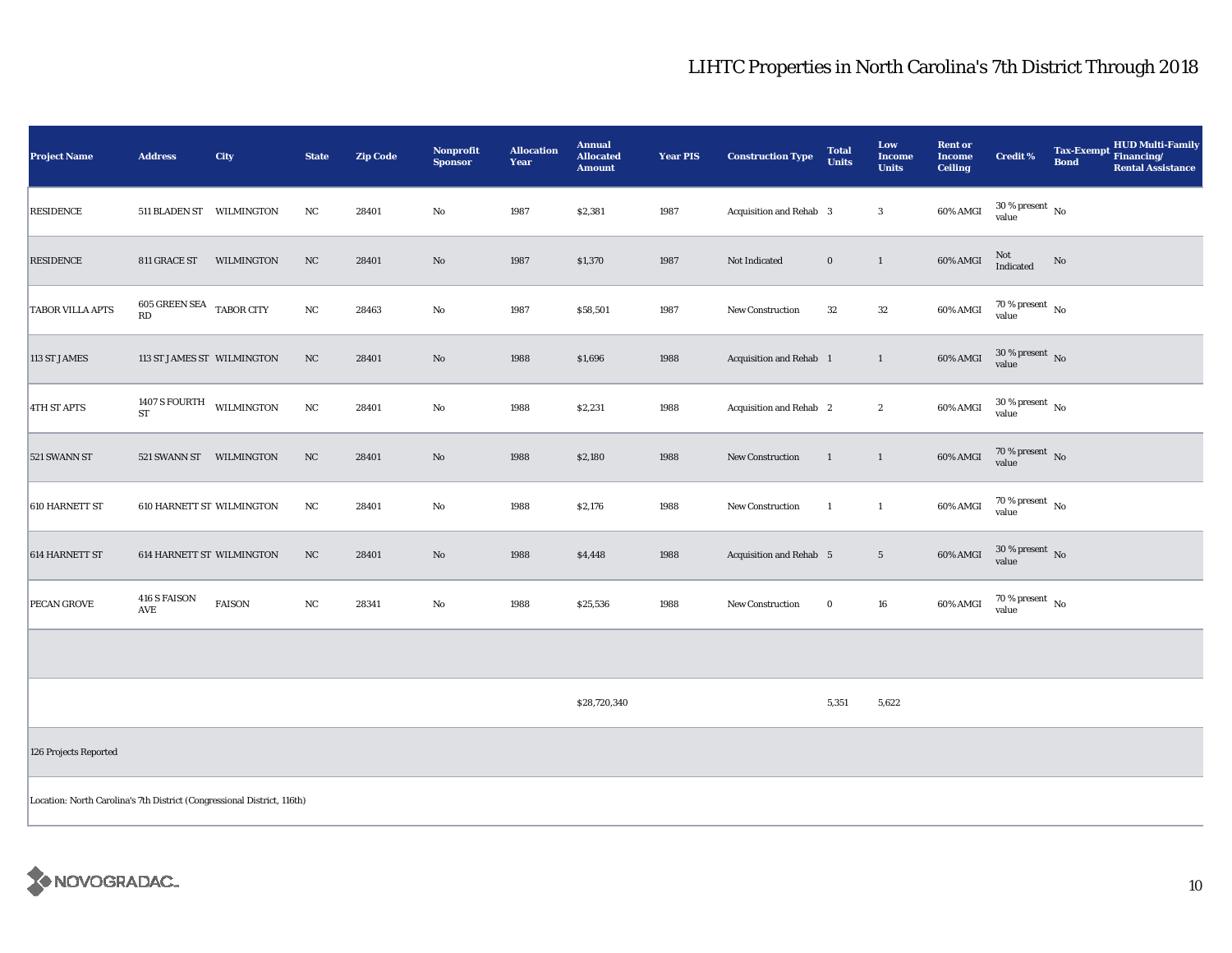| <b>Project Name</b>                                                     | <b>Address</b>                           | City       | <b>State</b> | <b>Zip Code</b> | Nonprofit<br><b>Sponsor</b> | <b>Allocation</b><br>Year | <b>Annual</b><br><b>Allocated</b><br><b>Amount</b> | <b>Year PIS</b> | <b>Construction Type</b> | <b>Total</b><br><b>Units</b> | Low<br><b>Income</b><br><b>Units</b> | <b>Rent or</b><br><b>Income</b><br><b>Ceiling</b> | <b>Credit %</b>                        | <b>Bond</b> | Tax-Exempt HUD Multi-Family<br><b>Rental Assistance</b> |
|-------------------------------------------------------------------------|------------------------------------------|------------|--------------|-----------------|-----------------------------|---------------------------|----------------------------------------------------|-----------------|--------------------------|------------------------------|--------------------------------------|---------------------------------------------------|----------------------------------------|-------------|---------------------------------------------------------|
| <b>RESIDENCE</b>                                                        | 511 BLADEN ST WILMINGTON                 |            | NC           | 28401           | $\mathbf {No}$              | 1987                      | \$2,381                                            | 1987            | Acquisition and Rehab 3  |                              | $\boldsymbol{3}$                     | 60% AMGI                                          | $30\,\%$ present $\,$ No value         |             |                                                         |
| <b>RESIDENCE</b>                                                        | 811 GRACE ST                             | WILMINGTON | $_{\rm NC}$  | 28401           | $\rm\thinspace No$          | 1987                      | \$1,370                                            | 1987            | Not Indicated            | $\bf{0}$                     | $\mathbf{1}$                         | 60% AMGI                                          | Not<br>Indicated                       | $\rm No$    |                                                         |
| <b>TABOR VILLA APTS</b>                                                 | 605 GREEN SEA $_{\rm{TABOR~CITY}}$<br>RD |            | $_{\rm NC}$  | 28463           | No                          | 1987                      | \$58,501                                           | 1987            | New Construction         | 32                           | $32\,$                               | $60\%$ AMGI                                       | $70\,\%$ present $\,$ No $\,$<br>value |             |                                                         |
| 113 ST JAMES                                                            | 113 ST JAMES ST WILMINGTON               |            | NC           | 28401           | $\rm No$                    | 1988                      | \$1,696                                            | 1988            | Acquisition and Rehab 1  |                              | $\mathbf{1}$                         | 60% AMGI                                          | $30\,\%$ present $\,$ No value         |             |                                                         |
| <b>4TH ST APTS</b>                                                      | 1407 S FOURTH<br>${\rm ST}$              | WILMINGTON | NC           | 28401           | No                          | 1988                      | \$2,231                                            | 1988            | Acquisition and Rehab 2  |                              | $\boldsymbol{2}$                     | 60% AMGI                                          | $30\,\%$ present $\,$ No value         |             |                                                         |
| 521 SWANN ST                                                            | 521 SWANN ST WILMINGTON                  |            | $_{\rm NC}$  | 28401           | $\rm No$                    | 1988                      | \$2,180                                            | 1988            | New Construction         | $\mathbf{1}$                 | $\mathbf{1}$                         | $60\%$ AMGI                                       | $70\,\%$ present $\;$ No value         |             |                                                         |
| 610 HARNETT ST                                                          | <b>610 HARNETT ST WILMINGTON</b>         |            | NC           | 28401           | No                          | 1988                      | \$2,176                                            | 1988            | New Construction         | $\mathbf{1}$                 | $\mathbf{1}$                         | 60% AMGI                                          | $70$ % present $$\rm{No}$$ value       |             |                                                         |
| 614 HARNETT ST                                                          | 614 HARNETT ST WILMINGTON                |            | NC           | 28401           | $\rm No$                    | 1988                      | \$4,448                                            | 1988            | Acquisition and Rehab 5  |                              | $\sqrt{5}$                           | 60% AMGI                                          | $30\,\%$ present $\,$ No $\,$<br>value |             |                                                         |
| <b>PECAN GROVE</b>                                                      | <b>416 S FAISON</b><br>AVE               | FAISON     | $_{\rm NC}$  | 28341           | $\rm No$                    | 1988                      | \$25,536                                           | 1988            | New Construction         | $\bf{0}$                     | ${\bf 16}$                           | 60% AMGI                                          | $70\,\%$ present $\,$ No value         |             |                                                         |
|                                                                         |                                          |            |              |                 |                             |                           |                                                    |                 |                          |                              |                                      |                                                   |                                        |             |                                                         |
|                                                                         |                                          |            |              |                 |                             |                           | \$28,720,340                                       |                 |                          | 5,351                        | 5,622                                |                                                   |                                        |             |                                                         |
| 126 Projects Reported                                                   |                                          |            |              |                 |                             |                           |                                                    |                 |                          |                              |                                      |                                                   |                                        |             |                                                         |
| Location: North Carolina's 7th District (Congressional District, 116th) |                                          |            |              |                 |                             |                           |                                                    |                 |                          |                              |                                      |                                                   |                                        |             |                                                         |